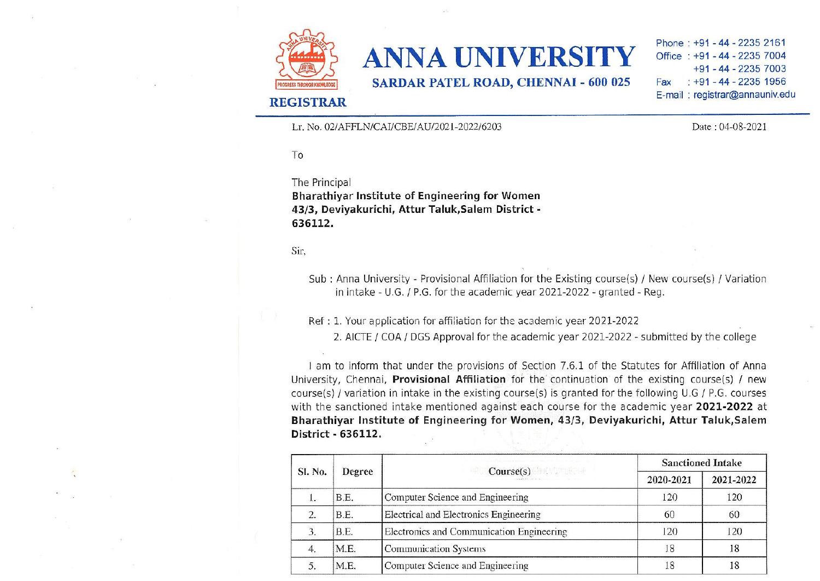

## ANNA UNIVERSITY

SARDAR PATEL ROAD, CHENNAI - 600 025

## REGISTRAR

Lr. No. 02/AFFLN/CAI/CBE/AU/2021-2022/6203

Phone: +91-44-2235 2161 Office : +91 - 44 - 2235 7004 +91 - 44 - 2235 7003 Fax . +91 - 44 - 2235 1956 E-mail : registrar@annauniv edu

Date: 04-08-2021

To

The Principal

Bharathiyar Institute of Engineering for Women 43/3, Deviyakurichi, Attur Taluk,Salem District - 636112.

Sir,

Sub : Anna University - Provisional Affiliation for the Existing course(s) *I* New course(s) *I* Variation in intake - U.G. / P.G. for the academic year 2021-2022 • granted - Reg.

Ref: 1. Your application for affiliation for the academic year 2021-2022

2. AICTE / COA *I* DGS Approval for the academic year 2021-2022 - submitted by the college

I am to inform that under the provisions of Section 7.6.1 of the Statutes for Affiliation of Anna University, Chennai, Provisional Affiliation for the' continuation of the existing course(s} *I* new course(s) / variation in intake in the existing course(s) is granted for the following U.G / P.G. courses with the sanctioned intake mentioned against each course for the academic year 2021-2022 at Bharathiyar Institute of Engineering for Women, 43/3, Deviyakurichi, Attur Taluk,Salem District· 636112.

| SI. No. | Degree | Course(s) 60 KNONHOLE<br>properties of the second comment of the comment | <b>Sanctioned Intake</b> |           |
|---------|--------|--------------------------------------------------------------------------|--------------------------|-----------|
|         |        |                                                                          | 2020-2021                | 2021-2022 |
|         | B.E.   | Computer Science and Engineering                                         | 120                      | 120       |
| 2.      | B.E.   | Electrical and Electronics Engineering                                   | 60                       | 60        |
|         | B.E.   | Electronics and Communication Engineering                                | 120                      | 120       |
| 4.      | M.E.   | Communication Systems                                                    | 18                       | 18        |
|         | M.E.   | Computer Science and Engineering                                         |                          |           |